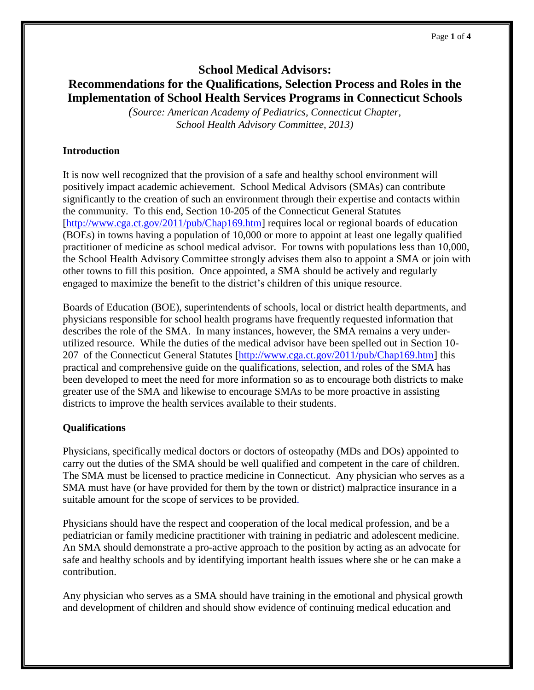# **School Medical Advisors: Recommendations for the Qualifications, Selection Process and Roles in the Implementation of School Health Services Programs in Connecticut Schools**

*(Source: American Academy of Pediatrics, Connecticut Chapter, School Health Advisory Committee, 2013)*

# **Introduction**

It is now well recognized that the provision of a safe and healthy school environment will positively impact academic achievement. School Medical Advisors (SMAs) can contribute significantly to the creation of such an environment through their expertise and contacts within the community. To this end, Section 10-205 of the Connecticut General Statutes [\[http://www.cga.ct.gov/2011/pub/Chap169.htm\]](http://www.cga.ct.gov/2011/pub/Chap169.htm) requires local or regional boards of education (BOEs) in towns having a population of 10,000 or more to appoint at least one legally qualified practitioner of medicine as school medical advisor. For towns with populations less than 10,000, the School Health Advisory Committee strongly advises them also to appoint a SMA or join with other towns to fill this position. Once appointed, a SMA should be actively and regularly engaged to maximize the benefit to the district's children of this unique resource.

Boards of Education (BOE), superintendents of schools, local or district health departments, and physicians responsible for school health programs have frequently requested information that describes the role of the SMA. In many instances, however, the SMA remains a very underutilized resource. While the duties of the medical advisor have been spelled out in Section 10- 207 of the Connecticut General Statutes [\[http://www.cga.ct.gov/2011/pub/Chap169.htm\]](http://www.cga.ct.gov/2011/pub/Chap169.htm) this practical and comprehensive guide on the qualifications, selection, and roles of the SMA has been developed to meet the need for more information so as to encourage both districts to make greater use of the SMA and likewise to encourage SMAs to be more proactive in assisting districts to improve the health services available to their students.

# **Qualifications**

Physicians, specifically medical doctors or doctors of osteopathy (MDs and DOs) appointed to carry out the duties of the SMA should be well qualified and competent in the care of children. The SMA must be licensed to practice medicine in Connecticut. Any physician who serves as a SMA must have (or have provided for them by the town or district) malpractice insurance in a suitable amount for the scope of services to be provided.

Physicians should have the respect and cooperation of the local medical profession, and be a pediatrician or family medicine practitioner with training in pediatric and adolescent medicine. An SMA should demonstrate a pro-active approach to the position by acting as an advocate for safe and healthy schools and by identifying important health issues where she or he can make a contribution.

Any physician who serves as a SMA should have training in the emotional and physical growth and development of children and should show evidence of continuing medical education and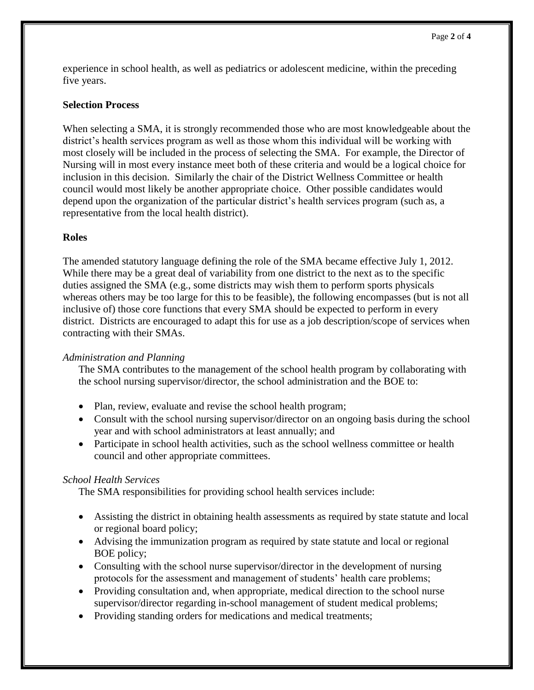experience in school health, as well as pediatrics or adolescent medicine, within the preceding five years.

## **Selection Process**

When selecting a SMA, it is strongly recommended those who are most knowledgeable about the district's health services program as well as those whom this individual will be working with most closely will be included in the process of selecting the SMA. For example, the Director of Nursing will in most every instance meet both of these criteria and would be a logical choice for inclusion in this decision. Similarly the chair of the District Wellness Committee or health council would most likely be another appropriate choice. Other possible candidates would depend upon the organization of the particular district's health services program (such as, a representative from the local health district).

# **Roles**

The amended statutory language defining the role of the SMA became effective July 1, 2012. While there may be a great deal of variability from one district to the next as to the specific duties assigned the SMA (e.g., some districts may wish them to perform sports physicals whereas others may be too large for this to be feasible), the following encompasses (but is not all inclusive of) those core functions that every SMA should be expected to perform in every district. Districts are encouraged to adapt this for use as a job description/scope of services when contracting with their SMAs.

#### *Administration and Planning*

The SMA contributes to the management of the school health program by collaborating with the school nursing supervisor/director, the school administration and the BOE to:

- Plan, review, evaluate and revise the school health program;
- Consult with the school nursing supervisor/director on an ongoing basis during the school year and with school administrators at least annually; and
- Participate in school health activities, such as the school wellness committee or health council and other appropriate committees.

#### *School Health Services*

The SMA responsibilities for providing school health services include:

- Assisting the district in obtaining health assessments as required by state statute and local or regional board policy;
- Advising the immunization program as required by state statute and local or regional BOE policy;
- Consulting with the school nurse supervisor/director in the development of nursing protocols for the assessment and management of students' health care problems;
- Providing consultation and, when appropriate, medical direction to the school nurse supervisor/director regarding in-school management of student medical problems;
- Providing standing orders for medications and medical treatments;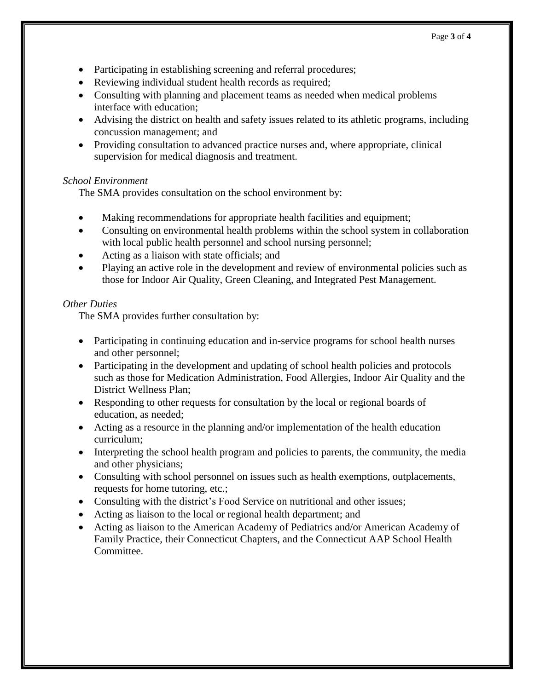- Participating in establishing screening and referral procedures;
- Reviewing individual student health records as required;
- Consulting with planning and placement teams as needed when medical problems interface with education;
- Advising the district on health and safety issues related to its athletic programs, including concussion management; and
- Providing consultation to advanced practice nurses and, where appropriate, clinical supervision for medical diagnosis and treatment.

### *School Environment*

The SMA provides consultation on the school environment by:

- Making recommendations for appropriate health facilities and equipment;
- Consulting on environmental health problems within the school system in collaboration with local public health personnel and school nursing personnel;
- Acting as a liaison with state officials; and
- Playing an active role in the development and review of environmental policies such as those for Indoor Air Quality, Green Cleaning, and Integrated Pest Management.

### *Other Duties*

The SMA provides further consultation by:

- Participating in continuing education and in-service programs for school health nurses and other personnel;
- Participating in the development and updating of school health policies and protocols such as those for Medication Administration, Food Allergies, Indoor Air Quality and the District Wellness Plan;
- Responding to other requests for consultation by the local or regional boards of education, as needed;
- Acting as a resource in the planning and/or implementation of the health education curriculum;
- Interpreting the school health program and policies to parents, the community, the media and other physicians;
- Consulting with school personnel on issues such as health exemptions, outplacements, requests for home tutoring, etc.;
- Consulting with the district's Food Service on nutritional and other issues;
- Acting as liaison to the local or regional health department; and
- Acting as liaison to the American Academy of Pediatrics and/or American Academy of Family Practice, their Connecticut Chapters, and the Connecticut AAP School Health Committee.